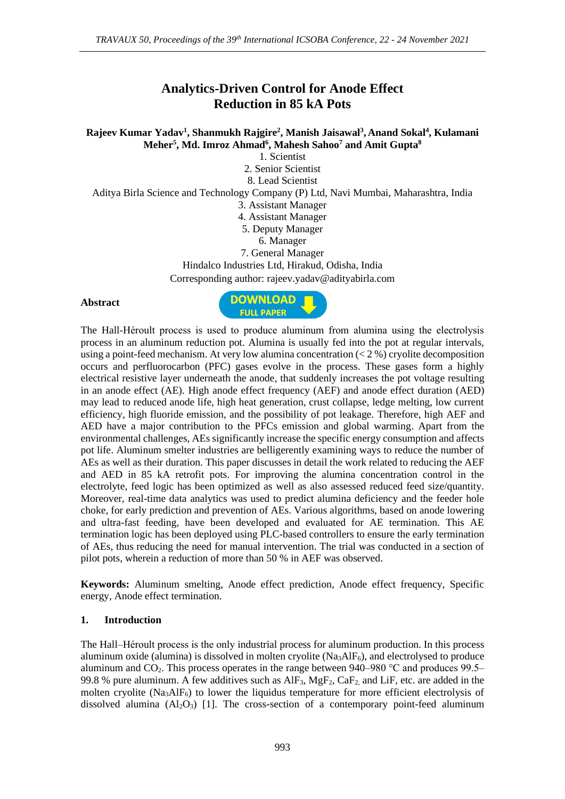# **Analytics-Driven Control for Anode Effect Reduction in 85 kA Pots**

**Rajeev Kumar Yadav<sup>1</sup> , Shanmukh Rajgire<sup>2</sup> , Manish Jaisawal<sup>3</sup> , Anand Sokal<sup>4</sup> , Kulamani Meher<sup>5</sup> , Md. Imroz Ahmad<sup>6</sup> , Mahesh Sahoo<sup>7</sup> and Amit Gupta<sup>8</sup>**

1. Scientist 2. Senior Scientist 8. Lead Scientist Aditya Birla Science and Technology Company (P) Ltd, Navi Mumbai, Maharashtra, India 3. Assistant Manager 4. Assistant Manager 5. Deputy Manager 6. Manager 7. General Manager Hindalco Industries Ltd, Hirakud, Odisha, India Corresponding author: rajeev.yadav@adityabirla.com

#### **Abstract**



The Hall-Héroult process is used to produce aluminum from alumina using the electrolysis process in an aluminum reduction pot. Alumina is usually fed into the pot at regular intervals, using a point-feed mechanism. At very low alumina concentration  $(< 2\%$ ) cryolite decomposition occurs and perfluorocarbon (PFC) gases evolve in the process. These gases form a highly electrical resistive layer underneath the anode, that suddenly increases the pot voltage resulting in an anode effect (AE). High anode effect frequency (AEF) and anode effect duration (AED) may lead to reduced anode life, high heat generation, crust collapse, ledge melting, low current efficiency, high fluoride emission, and the possibility of pot leakage. Therefore, high AEF and AED have a major contribution to the PFCs emission and global warming. Apart from the environmental challenges, AEs significantly increase the specific energy consumption and affects pot life. Aluminum smelter industries are belligerently examining ways to reduce the number of AEs as well as their duration. This paper discusses in detail the work related to reducing the AEF and AED in 85 kA retrofit pots. For improving the alumina concentration control in the electrolyte, feed logic has been optimized as well as also assessed reduced feed size/quantity. Moreover, real-time data analytics was used to predict alumina deficiency and the feeder hole choke, for early prediction and prevention of AEs. Various algorithms, based on anode lowering and ultra-fast feeding, have been developed and evaluated for AE termination. This AE termination logic has been deployed using PLC-based controllers to ensure the early termination of AEs, thus reducing the need for manual intervention. The trial was conducted in a section of pilot pots, wherein a reduction of more than 50 % in AEF was observed.

**Keywords:** Aluminum smelting, Anode effect prediction, Anode effect frequency, Specific energy, Anode effect termination.

## **1. Introduction**

The Hall–Héroult process is the only [industrial process](https://en.wikipedia.org/wiki/Industrial_process) for [aluminum](https://en.wikipedia.org/wiki/Aluminium_smelting) production. In this process [aluminum oxide \(alumina\)](https://en.wikipedia.org/wiki/Aluminium_oxide) is dissolved in molten [cryolite](https://en.wikipedia.org/wiki/Cryolite)  $(Na<sub>3</sub>AlF<sub>6</sub>)$ , and [electrolys](https://en.wikipedia.org/wiki/Electrolysis)ed to produce aluminum and CO<sub>2</sub>. This process operates in the range between  $940-980$  °C and produces  $99.5$ 99.8 % pure [aluminum.](https://en.wikipedia.org/wiki/Aluminium) A few additives such as  $AIF_3$ ,  $MgF_2$ ,  $CaF_2$  and LiF, etc. are added in the molten [cryolite](https://en.wikipedia.org/wiki/Cryolite) ( $Na_3AlF_6$ ) to lower the liquidus temperature for more efficient electrolysis of dissolved alumina  $(A_1 2O_3)$  [1]. The cross-section of a contemporary point-feed aluminum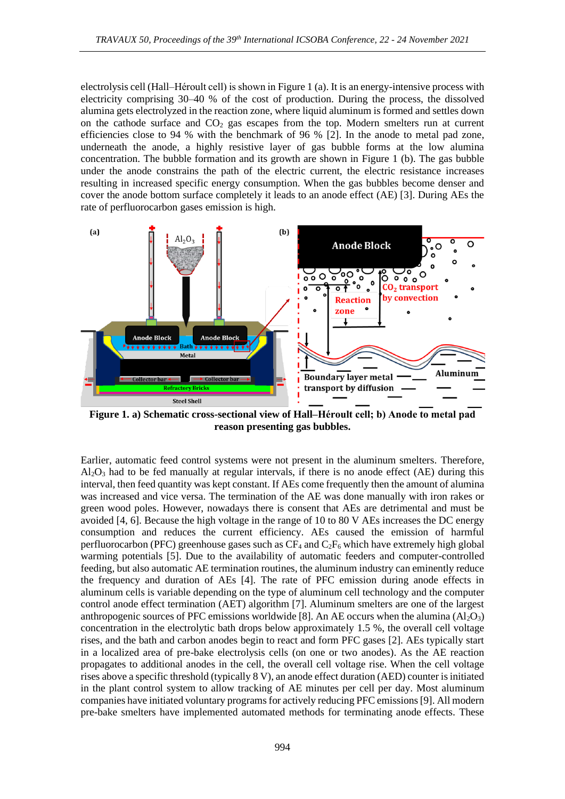electrolysis cell (Hall–Héroult cell) is shown in Figure 1 (a). It is an energy-intensive process with electricity comprising 30–40 % of the cost of production. During the process, the dissolved alumina gets electrolyzed in the reaction zone, where liquid aluminum is formed and settles down on the cathode surface and  $CO<sub>2</sub>$  gas escapes from the top. Modern smelters run at current efficiencies close to 94 % with the benchmark of 96 % [2]. In the anode to metal pad zone, underneath the anode, a highly resistive layer of gas bubble forms at the low alumina concentration. The bubble formation and its growth are shown in Figure 1 (b). The gas bubble under the anode constrains the path of the electric current, the electric resistance increases resulting in increased specific energy consumption. When the gas bubbles become denser and cover the anode bottom surface completely it leads to an anode effect (AE) [3]. During AEs the rate of perfluorocarbon gases emission is high.



**Figure 1. a) Schematic cross-sectional view of Hall–Héroult cell; b) Anode to metal pad reason presenting gas bubbles.**

Earlier, automatic feed control systems were not present in the aluminum smelters. Therefore,  $Al_2O_3$  had to be fed manually at regular intervals, if there is no anode effect (AE) during this interval, then feed quantity was kept constant. If AEs come frequently then the amount of alumina was increased and vice versa. The termination of the AE was done manually with iron rakes or green wood poles. However, nowadays there is consent that AEs are detrimental and must be avoided [4, 6]. Because the high voltage in the range of 10 to 80 V AEs increases the DC energy consumption and reduces the current efficiency. AEs caused the emission of harmful perfluorocarbon (PFC) greenhouse gases such as  $CF_4$  and  $C_2F_6$  which have extremely high global warming potentials [5]. Due to the availability of automatic feeders and computer-controlled feeding, but also automatic AE termination routines, the aluminum industry can eminently reduce the frequency and duration of AEs [4]. The rate of PFC emission during anode effects in aluminum cells is variable depending on the type of aluminum cell technology and the computer control anode effect termination (AET) algorithm [7]. Aluminum smelters are one of the largest anthropogenic sources of PFC emissions worldwide [8]. An AE occurs when the alumina  $(AI_2O_3)$ concentration in the electrolytic bath drops below approximately 1.5 %, the overall cell voltage rises, and the bath and carbon anodes begin to react and form PFC gases [2]. AEs typically start in a localized area of pre-bake electrolysis cells (on one or two anodes). As the AE reaction propagates to additional anodes in the cell, the overall cell voltage rise. When the cell voltage rises above a specific threshold (typically 8 V), an anode effect duration (AED) counter is initiated in the plant control system to allow tracking of AE minutes per cell per day. Most aluminum companies have initiated voluntary programs for actively reducing PFC emissions [9]. All modern pre-bake smelters have implemented automated methods for terminating anode effects. These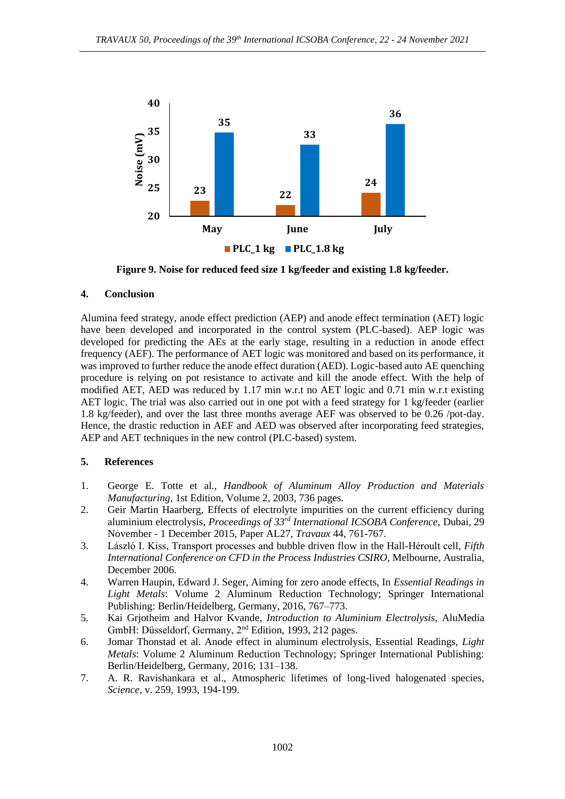

**Figure 9. Noise for reduced feed size 1 kg/feeder and existing 1.8 kg/feeder.**

## **4. Conclusion**

Alumina feed strategy, anode effect prediction (AEP) and anode effect termination (AET) logic have been developed and incorporated in the control system (PLC-based). AEP logic was developed for predicting the AEs at the early stage, resulting in a reduction in anode effect frequency (AEF). The performance of AET logic was monitored and based on its performance, it was improved to further reduce the anode effect duration (AED). Logic-based auto AE quenching procedure is relying on pot resistance to activate and kill the anode effect. With the help of modified AET, AED was reduced by 1.17 min w.r.t no AET logic and 0.71 min w.r.t existing AET logic. The trial was also carried out in one pot with a feed strategy for 1 kg/feeder (earlier 1.8 kg/feeder), and over the last three months average AEF was observed to be 0.26 /pot-day. Hence, the drastic reduction in AEF and AED was observed after incorporating feed strategies, AEP and AET techniques in the new control (PLC-based) system.

#### **5. References**

- 1. George E. Totte et al., *Handbook of Aluminum Alloy Production and Materials Manufacturing*, 1st Edition, Volume 2, 2003, 736 pages.
- 2. Geir Martin Haarberg, Effects of electrolyte impurities on the current efficiency during aluminium electrolysis, *Proceedings of 33rd International ICSOBA Conference*, Dubai, 29 November - 1 December 2015, Paper AL27, *Travaux* 44, 761-767.
- 3. László I. Kiss, Transport processes and bubble driven flow in the Hall-Héroult cell, *Fifth International Conference on CFD in the Process Industries CSIRO*, Melbourne, Australia, December 2006.
- 4. Warren Haupin, Edward J. Seger, Aiming for zero anode effects, In *Essential Readings in Light Metals*: Volume 2 Aluminum Reduction Technology; Springer International Publishing: Berlin/Heidelberg, Germany, 2016, 767–773.
- 5. Kai Grjotheim and Halvor Kvande, *Introduction to Aluminium Electrolysis,* AluMedia GmbH: Düsseldorf, Germany, 2nd Edition, 1993, 212 pages.
- 6. Jomar Thonstad et al. Anode effect in aluminum electrolysis, Essential Readings, *Light Metals*: Volume 2 Aluminum Reduction Technology; Springer International Publishing: Berlin/Heidelberg, Germany, 2016; 131–138.
- 7. A. R. Ravishankara et al., Atmospheric lifetimes of long-lived halogenated species, *Science*, v. 259, 1993, 194-199.